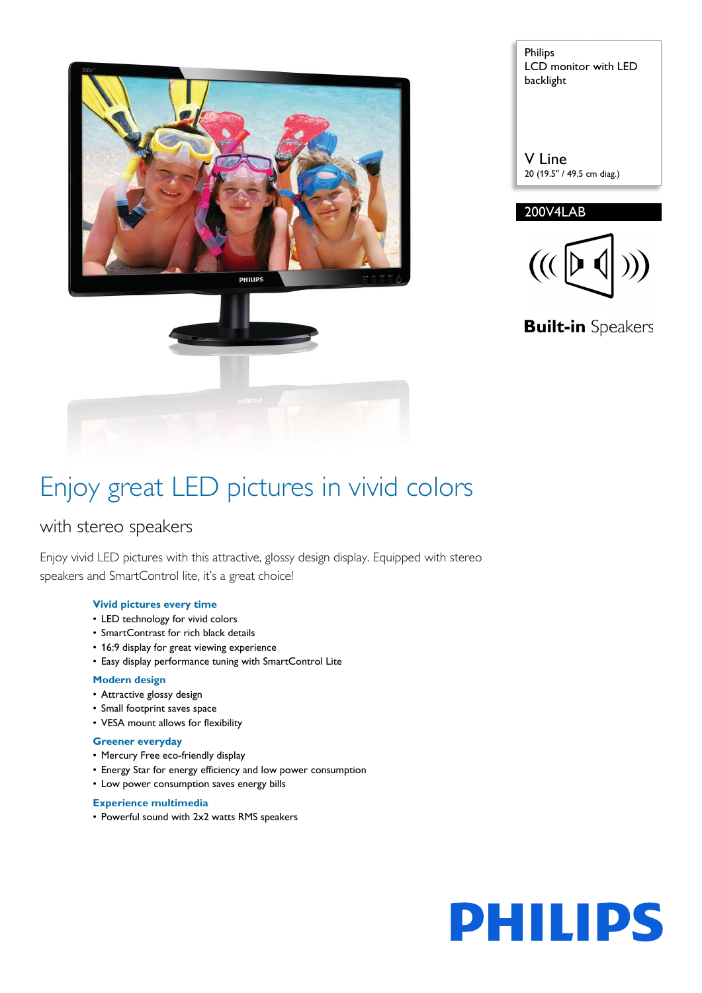

| <b>Philips</b>       |
|----------------------|
| LCD monitor with LED |
| backlight            |
|                      |

V Line 20 (19.5" / 49.5 cm diag.)

#### 200V4LAB



**Built-in** Speakers

## Enjoy great LED pictures in vivid colors

### with stereo speakers

Enjoy vivid LED pictures with this attractive, glossy design display. Equipped with stereo speakers and SmartControl lite, it's a great choice!

#### **Vivid pictures every time**

- LED technology for vivid colors
- SmartContrast for rich black details
- 16:9 display for great viewing experience
- Easy display performance tuning with SmartControl Lite

#### **Modern design**

- Attractive glossy design
- Small footprint saves space
- VESA mount allows for flexibility

#### **Greener everyday**

- Mercury Free eco-friendly display
- Energy Star for energy efficiency and low power consumption
- Low power consumption saves energy bills

#### **Experience multimedia**

• Powerful sound with 2x2 watts RMS speakers

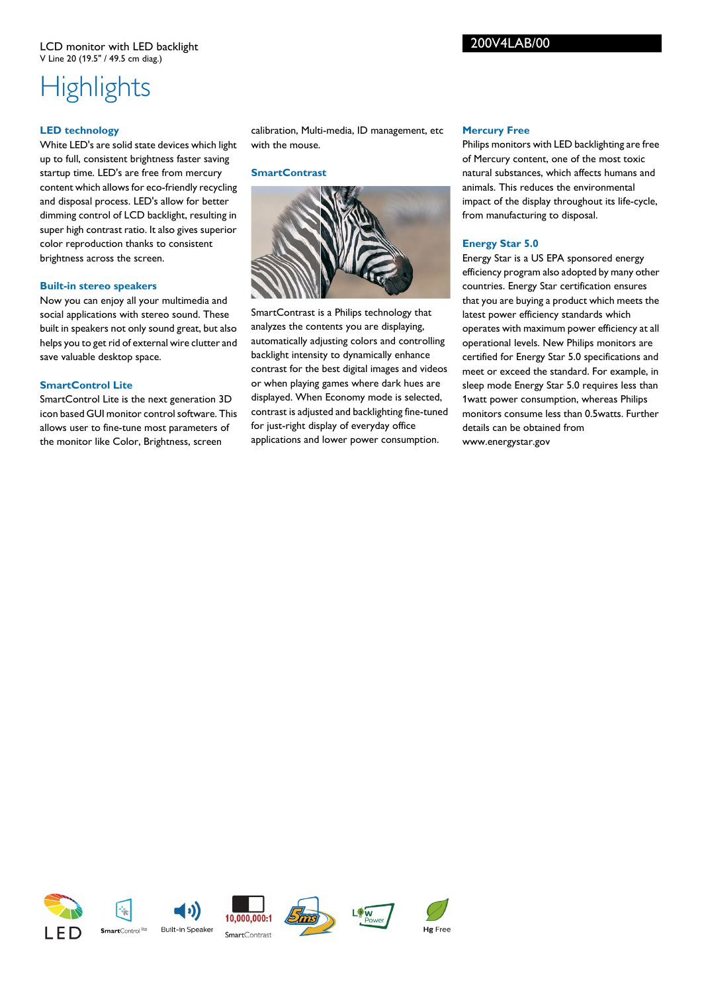### 200V4LAB/00

# **Highlights**

#### **LED technology**

White LED's are solid state devices which light up to full, consistent brightness faster saving startup time. LED's are free from mercury content which allows for eco-friendly recycling and disposal process. LED's allow for better dimming control of LCD backlight, resulting in super high contrast ratio. It also gives superior color reproduction thanks to consistent brightness across the screen.

#### **Built-in stereo speakers**

Now you can enjoy all your multimedia and social applications with stereo sound. These built in speakers not only sound great, but also helps you to get rid of external wire clutter and save valuable desktop space.

#### **SmartControl Lite**

SmartControl Lite is the next generation 3D icon based GUI monitor control software. This allows user to fine-tune most parameters of the monitor like Color, Brightness, screen

calibration, Multi-media, ID management, etc with the mouse.

#### **SmartContrast**



SmartContrast is a Philips technology that analyzes the contents you are displaying, automatically adjusting colors and controlling backlight intensity to dynamically enhance contrast for the best digital images and videos or when playing games where dark hues are displayed. When Economy mode is selected, contrast is adjusted and backlighting fine-tuned for just-right display of everyday office applications and lower power consumption.

#### **Mercury Free**

Philips monitors with LED backlighting are free of Mercury content, one of the most toxic natural substances, which affects humans and animals. This reduces the environmental impact of the display throughout its life-cycle, from manufacturing to disposal.

#### **Energy Star 5.0**

Energy Star is a US EPA sponsored energy efficiency program also adopted by many other countries. Energy Star certification ensures that you are buying a product which meets the latest power efficiency standards which operates with maximum power efficiency at all operational levels. New Philips monitors are certified for Energy Star 5.0 specifications and meet or exceed the standard. For example, in sleep mode Energy Star 5.0 requires less than 1watt power consumption, whereas Philips monitors consume less than 0.5watts. Further details can be obtained from www.energystar.gov